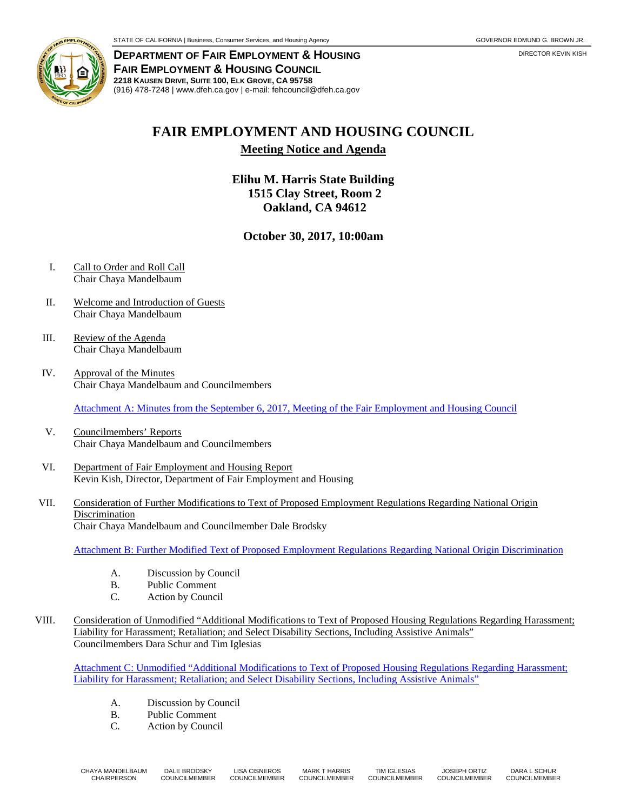

**DEPARTMENT OF FAIR EMPLOYMENT & HOUSING** DIRECTOR KEVIN KISH **FAIR EMPLOYMENT & HOUSING COUNCIL 2218 KAUSEN DRIVE, SUITE 100, ELK GROVE, CA 95758** (916) 478-7248 | www.dfeh.ca.gov | e-mail: fehcouncil@dfeh.ca.gov

## **FAIR EMPLOYMENT AND HOUSING COUNCIL**

**Meeting Notice and Agenda**

**Elihu M. Harris State Building 1515 Clay Street, Room 2 Oakland, CA 94612**

## **October 30, 2017, 10:00am**

- I. Call to Order and Roll Call Chair Chaya Mandelbaum
- II. Welcome and Introduction of Guests Chair Chaya Mandelbaum
- III. Review of the Agenda Chair Chaya Mandelbaum
- IV. Approval of the Minutes Chair Chaya Mandelbaum and Councilmembers

Attachment A: Minutes from the September 6, 2017, [Meeting of the Fair Employment and Housing Council](http://www.dfeh.ca.gov/wp-content/uploads/sites/32/2017/10/AttachA-FEHCMinutes2017Sep6.pdf)

- V. Councilmembers' Reports Chair Chaya Mandelbaum and Councilmembers
- VI. Department of Fair Employment and Housing Report Kevin Kish, Director, Department of Fair Employment and Housing
- VII. Consideration of Further Modifications to Text of Proposed Employment Regulations Regarding National Origin Discrimination Chair Chaya Mandelbaum and Councilmember Dale Brodsky

[Attachment B: Further Modified Text of Proposed Employment Regulations Regarding National Origin Discrimination](http://www.dfeh.ca.gov/wp-content/uploads/sites/32/2017/10/AttachB-4Oct2017Meeting.pdf)

- A. Discussion by Council<br>B. Public Comment
- Public Comment
- C. Action by Council
- VIII. Consideration of Unmodified "Additional Modifications to Text of Proposed Housing Regulations Regarding Harassment; Liability for Harassment; Retaliation; and Select Disability Sections, Including Assistive Animals" Councilmembers Dara Schur and Tim Iglesias

[Attachment C: Unmodified "Additional Modifications to Text of Proposed Housing Regulations Regarding Harassment;](http://www.dfeh.ca.gov/wp-content/uploads/sites/32/2017/10/AttachC-4Oct2017Meeting.pdf)  [Liability for Harassment; Retaliation; and Select Disability Sections, Including Assistive Animals"](http://www.dfeh.ca.gov/wp-content/uploads/sites/32/2017/10/AttachC-4Oct2017Meeting.pdf)

- A. Discussion by Council
- B. Public Comment<br>C. Action by Council
- Action by Council